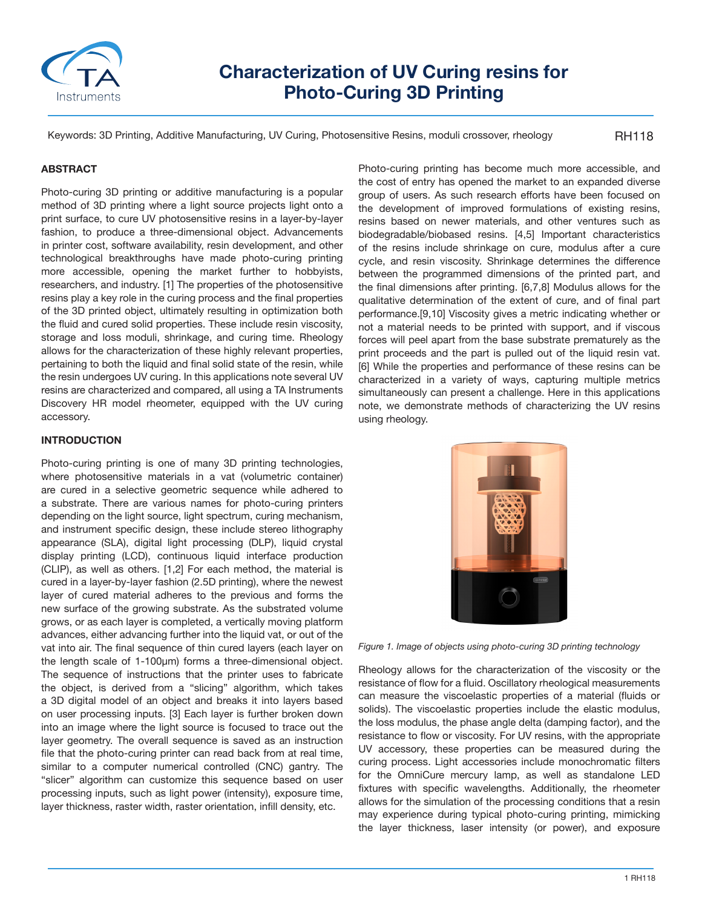

# **Characterization of UV Curing resins for Photo-Curing 3D Printing**

Keywords: 3D Printing, Additive Manufacturing, UV Curing, Photosensitive Resins, moduli crossover, rheology

RH118

## **ABSTRACT**

Photo-curing 3D printing or additive manufacturing is a popular method of 3D printing where a light source projects light onto a print surface, to cure UV photosensitive resins in a layer-by-layer fashion, to produce a three-dimensional object. Advancements in printer cost, software availability, resin development, and other technological breakthroughs have made photo-curing printing more accessible, opening the market further to hobbyists, researchers, and industry. [1] The properties of the photosensitive resins play a key role in the curing process and the final properties of the 3D printed object, ultimately resulting in optimization both the fluid and cured solid properties. These include resin viscosity, storage and loss moduli, shrinkage, and curing time. Rheology allows for the characterization of these highly relevant properties, pertaining to both the liquid and final solid state of the resin, while the resin undergoes UV curing. In this applications note several UV resins are characterized and compared, all using a TA Instruments Discovery HR model rheometer, equipped with the UV curing accessory.

## **INTRODUCTION**

Photo-curing printing is one of many 3D printing technologies, where photosensitive materials in a vat (volumetric container) are cured in a selective geometric sequence while adhered to a substrate. There are various names for photo-curing printers depending on the light source, light spectrum, curing mechanism, and instrument specific design, these include stereo lithography appearance (SLA), digital light processing (DLP), liquid crystal display printing (LCD), continuous liquid interface production (CLIP), as well as others. [1,2] For each method, the material is cured in a layer-by-layer fashion (2.5D printing), where the newest layer of cured material adheres to the previous and forms the new surface of the growing substrate. As the substrated volume grows, or as each layer is completed, a vertically moving platform advances, either advancing further into the liquid vat, or out of the vat into air. The final sequence of thin cured layers (each layer on the length scale of 1-100µm) forms a three-dimensional object. The sequence of instructions that the printer uses to fabricate the object, is derived from a "slicing" algorithm, which takes a 3D digital model of an object and breaks it into layers based on user processing inputs. [3] Each layer is further broken down into an image where the light source is focused to trace out the layer geometry. The overall sequence is saved as an instruction file that the photo-curing printer can read back from at real time, similar to a computer numerical controlled (CNC) gantry. The "slicer" algorithm can customize this sequence based on user processing inputs, such as light power (intensity), exposure time, layer thickness, raster width, raster orientation, infill density, etc.

Photo-curing printing has become much more accessible, and the cost of entry has opened the market to an expanded diverse group of users. As such research efforts have been focused on the development of improved formulations of existing resins, resins based on newer materials, and other ventures such as biodegradable/biobased resins. [4,5] Important characteristics of the resins include shrinkage on cure, modulus after a cure cycle, and resin viscosity. Shrinkage determines the difference between the programmed dimensions of the printed part, and the final dimensions after printing. [6,7,8] Modulus allows for the qualitative determination of the extent of cure, and of final part performance.[9,10] Viscosity gives a metric indicating whether or not a material needs to be printed with support, and if viscous forces will peel apart from the base substrate prematurely as the print proceeds and the part is pulled out of the liquid resin vat. [6] While the properties and performance of these resins can be characterized in a variety of ways, capturing multiple metrics simultaneously can present a challenge. Here in this applications note, we demonstrate methods of characterizing the UV resins using rheology.



*Figure 1. Image of objects using photo-curing 3D printing technology*

Rheology allows for the characterization of the viscosity or the resistance of flow for a fluid. Oscillatory rheological measurements can measure the viscoelastic properties of a material (fluids or solids). The viscoelastic properties include the elastic modulus, the loss modulus, the phase angle delta (damping factor), and the resistance to flow or viscosity. For UV resins, with the appropriate UV accessory, these properties can be measured during the curing process. Light accessories include monochromatic filters for the OmniCure mercury lamp, as well as standalone LED fixtures with specific wavelengths. Additionally, the rheometer allows for the simulation of the processing conditions that a resin may experience during typical photo-curing printing, mimicking the layer thickness, laser intensity (or power), and exposure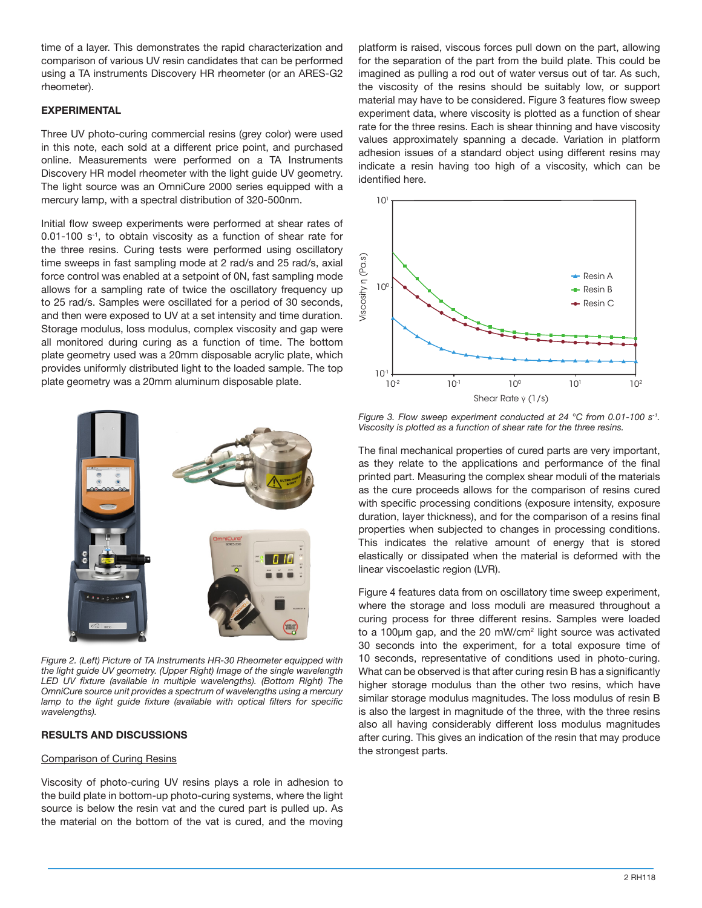time of a layer. This demonstrates the rapid characterization and comparison of various UV resin candidates that can be performed using a TA instruments Discovery HR rheometer (or an ARES-G2 rheometer).

## **EXPERIMENTAL**

Three UV photo-curing commercial resins (grey color) were used in this note, each sold at a different price point, and purchased online. Measurements were performed on a TA Instruments Discovery HR model rheometer with the light guide UV geometry. The light source was an OmniCure 2000 series equipped with a mercury lamp, with a spectral distribution of 320-500nm.

Initial flow sweep experiments were performed at shear rates of 0.01-100 s-1, to obtain viscosity as a function of shear rate for the three resins. Curing tests were performed using oscillatory time sweeps in fast sampling mode at 2 rad/s and 25 rad/s, axial force control was enabled at a setpoint of 0N, fast sampling mode allows for a sampling rate of twice the oscillatory frequency up to 25 rad/s. Samples were oscillated for a period of 30 seconds, and then were exposed to UV at a set intensity and time duration. Storage modulus, loss modulus, complex viscosity and gap were all monitored during curing as a function of time. The bottom plate geometry used was a 20mm disposable acrylic plate, which provides uniformly distributed light to the loaded sample. The top plate geometry was a 20mm aluminum disposable plate.



*Figure 2. (Left) Picture of TA Instruments HR-30 Rheometer equipped with the light guide UV geometry. (Upper Right) Image of the single wavelength LED UV fixture (available in multiple wavelengths). (Bottom Right) The OmniCure source unit provides a spectrum of wavelengths using a mercury*  lamp to the light guide fixture (available with optical filters for specific *wavelengths).*

# **RESULTS AND DISCUSSIONS**

## Comparison of Curing Resins

Viscosity of photo-curing UV resins plays a role in adhesion to the build plate in bottom-up photo-curing systems, where the light source is below the resin vat and the cured part is pulled up. As the material on the bottom of the vat is cured, and the moving platform is raised, viscous forces pull down on the part, allowing for the separation of the part from the build plate. This could be imagined as pulling a rod out of water versus out of tar. As such, the viscosity of the resins should be suitably low, or support material may have to be considered. Figure 3 features flow sweep experiment data, where viscosity is plotted as a function of shear rate for the three resins. Each is shear thinning and have viscosity values approximately spanning a decade. Variation in platform adhesion issues of a standard object using different resins may indicate a resin having too high of a viscosity, which can be identified here.



*Figure 3. Flow sweep experiment conducted at 24 °C from 0.01-100 s-1. Viscosity is plotted as a function of shear rate for the three resins.*

The final mechanical properties of cured parts are very important, as they relate to the applications and performance of the final printed part. Measuring the complex shear moduli of the materials as the cure proceeds allows for the comparison of resins cured with specific processing conditions (exposure intensity, exposure duration, layer thickness), and for the comparison of a resins final properties when subjected to changes in processing conditions. This indicates the relative amount of energy that is stored elastically or dissipated when the material is deformed with the linear viscoelastic region (LVR).

( $\frac{10^{11}}{10^{2}}$ <br>  $\frac{10^{11}}{10^{2}}$ <br>  $\frac{10^{11}}{10^{2}}$ <br>  $\frac{10^{11}}{10^{2}}$ <br>  $\frac{10^{11}}{10^{2}}$ <br>  $\frac{10^{11}}{10^{2}}$ <br>  $\frac{10^{11}}{10^{2}}$ <br>  $\frac{10^{11}}{10^{2}}$ <br>  $\frac{10^{11}}{10^{2}}$ <br>  $\frac{10^{11}}{10^{2}}$ <br>  $\frac{10^{11}}{10^{2}}$ <br>  $\frac{10^{11}}$ Figure 4 features data from on oscillatory time sweep experiment, where the storage and loss moduli are measured throughout a curing process for three different resins. Samples were loaded to a 100µm gap, and the 20 mW/cm<sup>2</sup> light source was activated 30 seconds into the experiment, for a total exposure time of 10 seconds, representative of conditions used in photo-curing. What can be observed is that after curing resin B has a significantly higher storage modulus than the other two resins, which have similar storage modulus magnitudes. The loss modulus of resin B is also the largest in magnitude of the three, with the three resins also all having considerably different loss modulus magnitudes after curing. This gives an indication of the resin that may produce the strongest parts.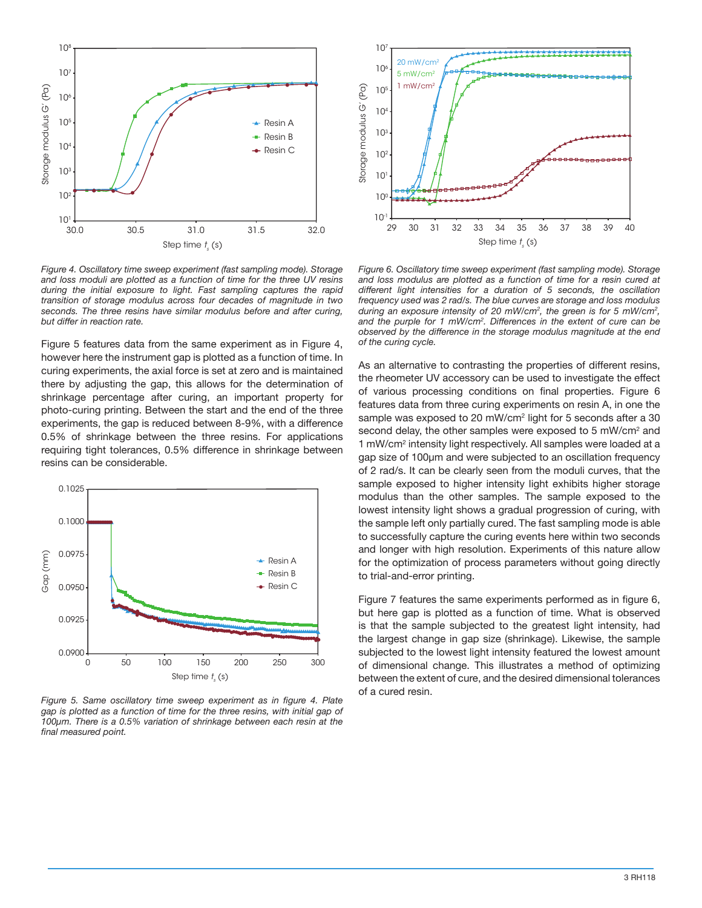

*Figure 4. Oscillatory time sweep experiment (fast sampling mode). Storage and loss moduli are plotted as a function of time for the three UV resins during the initial exposure to light. Fast sampling captures the rapid transition of storage modulus across four decades of magnitude in two seconds. The three resins have similar modulus before and after curing, but differ in reaction rate.*

Figure 5 features data from the same experiment as in Figure 4, however here the instrument gap is plotted as a function of time. In curing experiments, the axial force is set at zero and is maintained there by adjusting the gap, this allows for the determination of shrinkage percentage after curing, an important property for photo-curing printing. Between the start and the end of the three experiments, the gap is reduced between 8-9%, with a difference 0.5% of shrinkage between the three resins. For applications requiring tight tolerances, 0.5% difference in shrinkage between resins can be considerable.



*Figure 5. Same oscillatory time sweep experiment as in figure 4. Plate gap is plotted as a function of time for the three resins, with initial gap of 100µm. There is a 0.5% variation of shrinkage between each resin at the final measured point.*



*Figure 6. Oscillatory time sweep experiment (fast sampling mode). Storage and loss modulus are plotted as a function of time for a resin cured at different light intensities for a duration of 5 seconds, the oscillation frequency used was 2 rad/s. The blue curves are storage and loss modulus during an exposure intensity of 20 mW/cm<sup>2</sup> , the green is for 5 mW/cm<sup>2</sup> , and the purple for 1 mW/cm<sup>2</sup> . Differences in the extent of cure can be observed by the difference in the storage modulus magnitude at the end of the curing cycle.*

As an alternative to contrasting the properties of different resins, the rheometer UV accessory can be used to investigate the effect of various processing conditions on final properties. Figure 6 features data from three curing experiments on resin A, in one the sample was exposed to 20 mW/cm<sup>2</sup> light for 5 seconds after a 30 second delay, the other samples were exposed to 5 mW/cm<sup>2</sup> and 1 mW/cm<sup>2</sup> intensity light respectively. All samples were loaded at a gap size of 100µm and were subjected to an oscillation frequency of 2 rad/s. It can be clearly seen from the moduli curves, that the sample exposed to higher intensity light exhibits higher storage modulus than the other samples. The sample exposed to the lowest intensity light shows a gradual progression of curing, with the sample left only partially cured. The fast sampling mode is able to successfully capture the curing events here within two seconds and longer with high resolution. Experiments of this nature allow for the optimization of process parameters without going directly to trial-and-error printing.

Figure 7 features the same experiments performed as in figure 6, but here gap is plotted as a function of time. What is observed is that the sample subjected to the greatest light intensity, had the largest change in gap size (shrinkage). Likewise, the sample subjected to the lowest light intensity featured the lowest amount of dimensional change. This illustrates a method of optimizing between the extent of cure, and the desired dimensional tolerances of a cured resin.